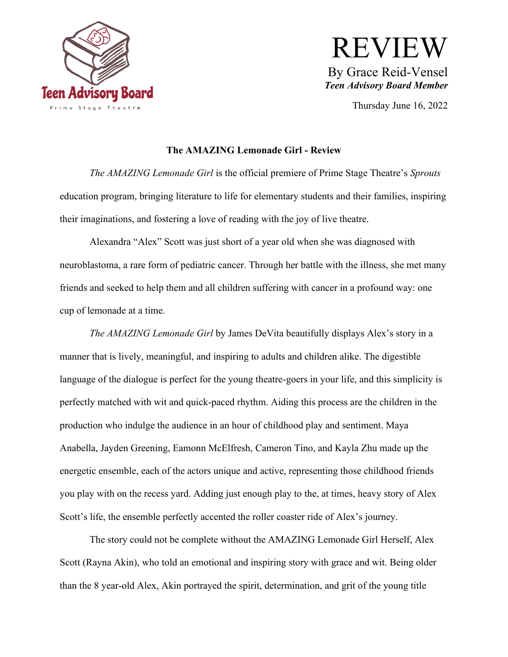

## REVIEW By Grace Reid-Vensel *Teen Advisory Board Member*

Thursday June 16, 2022

## **The AMAZING Lemonade Girl - Review**

*The AMAZING Lemonade Girl* is the official premiere of Prime Stage Theatre's *Sprouts*  education program, bringing literature to life for elementary students and their families, inspiring their imaginations, and fostering a love of reading with the joy of live theatre.

Alexandra "Alex" Scott was just short of a year old when she was diagnosed with neuroblastoma, a rare form of pediatric cancer. Through her battle with the illness, she met many friends and seeked to help them and all children suffering with cancer in a profound way: one cup of lemonade at a time.

*The AMAZING Lemonade Girl* by James DeVita beautifully displays Alex's story in a manner that is lively, meaningful, and inspiring to adults and children alike. The digestible language of the dialogue is perfect for the young theatre-goers in your life, and this simplicity is perfectly matched with wit and quick-paced rhythm. Aiding this process are the children in the production who indulge the audience in an hour of childhood play and sentiment. Maya Anabella, Jayden Greening, Eamonn McElfresh, Cameron Tino, and Kayla Zhu made up the energetic ensemble, each of the actors unique and active, representing those childhood friends you play with on the recess yard. Adding just enough play to the, at times, heavy story of Alex Scott's life, the ensemble perfectly accented the roller coaster ride of Alex's journey.

The story could not be complete without the AMAZING Lemonade Girl Herself, Alex Scott (Rayna Akin), who told an emotional and inspiring story with grace and wit. Being older than the 8 year-old Alex, Akin portrayed the spirit, determination, and grit of the young title